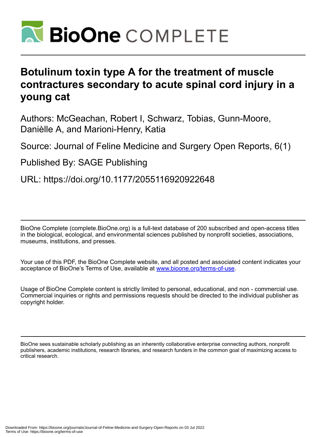

# **Botulinum toxin type A for the treatment of muscle contractures secondary to acute spinal cord injury in a young cat**

Authors: McGeachan, Robert I, Schwarz, Tobias, Gunn-Moore, Danièlle A, and Marioni-Henry, Katia

Source: Journal of Feline Medicine and Surgery Open Reports, 6(1)

Published By: SAGE Publishing

URL: https://doi.org/10.1177/2055116920922648

BioOne Complete (complete.BioOne.org) is a full-text database of 200 subscribed and open-access titles in the biological, ecological, and environmental sciences published by nonprofit societies, associations, museums, institutions, and presses.

Your use of this PDF, the BioOne Complete website, and all posted and associated content indicates your acceptance of BioOne's Terms of Use, available at www.bioone.org/terms-of-use.

Usage of BioOne Complete content is strictly limited to personal, educational, and non - commercial use. Commercial inquiries or rights and permissions requests should be directed to the individual publisher as copyright holder.

BioOne sees sustainable scholarly publishing as an inherently collaborative enterprise connecting authors, nonprofit publishers, academic institutions, research libraries, and research funders in the common goal of maximizing access to critical research.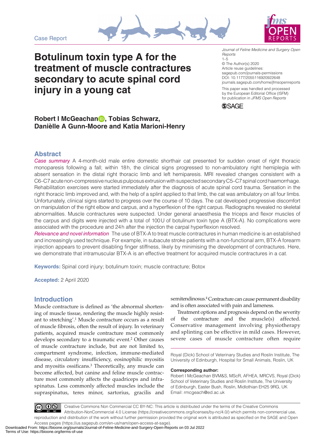Case Report





**Botulinum toxin type A for the treatment of muscle contractures secondary to acute spinal cord injury in a young cat**

DOI: 10.1177/2055116920922648 *Journal of Feline Medicine and Surgery Open Reports* 1–5 © The Author(s) 2020 Article reuse guidelines: [sagepub.com/journals-permissions](https://uk.sagepub.com/en-gb/journals-permissions) [journals.sagepub.com/home/jfmsopenreports](https://journals.sagepub.com/home/jfmsopenreports
)

This paper was handled and processed by the European Editorial Office (ISFM) for publication in *JFMS Open Reports*



# **Robert I McGeachan , Tobias Schwarz, Danièlle A Gunn-Moore and Katia Marioni-Henry**

## **Abstract**

*Case summary* A 4-month-old male entire domestic shorthair cat presented for sudden onset of right thoracic monoparesis following a fall; within 18h, the clinical signs progressed to non-ambulatory right hemiplegia with absent sensation in the distal right thoracic limb and left hemiparesis. MRI revealed changes consistent with a C6–C7 acute non-compressive nucleus pulposus extrusion with suspected secondary C5–C7 spinal cord haemorrhage. Rehabilitation exercises were started immediately after the diagnosis of acute spinal cord trauma. Sensation in the right thoracic limb improved and, with the help of a splint applied to that limb, the cat was ambulatory on all four limbs. Unfortunately, clinical signs started to progress over the course of 10 days. The cat developed progressive discomfort on manipulation of the right elbow and carpus, and a hyperflexion of the right carpus. Radiographs revealed no skeletal abnormalities. Muscle contractures were suspected. Under general anaesthesia the triceps and flexor muscles of the carpus and digits were injected with a total of 100U of botulinum toxin type A (BTX-A). No complications were associated with the procedure and 24h after the injection the carpal hyperflexion resolved.

*Relevance and novel information* The use of BTX-A to treat muscle contractures in human medicine is an established and increasingly used technique. For example, in subacute stroke patients with a non-functional arm, BTX-A forearm injection appears to prevent disabling finger stiffness, likely by minimising the development of contractures. Here, we demonstrate that intramuscular BTX-A is an effective treatment for acquired muscle contractures in a cat.

**Keywords:** Spinal cord injury; botulinum toxin; muscle contracture; Botox

**Accepted:** 2 April 2020

## **Introduction**

Muscle contracture is defined as 'the abnormal shortening of muscle tissue, rendering the muscle highly resistant to stretching'.1 Muscle contracture occurs as a result of muscle fibrosis, often the result of injury. In veterinary patients, acquired muscle contracture most commonly develops secondary to a traumatic event.2 Other causes of muscle contracture include, but are not limited to, compartment syndrome, infection, immune-mediated disease, circulatory insufficiency, eosinophilic myositis and myositis ossificans.3 Theoretically, any muscle can become affected, but canine and feline muscle contracture most commonly affects the quadriceps and infraspinatus. Less commonly affected muscles include the supraspinatus, teres minor, sartorius, gracilis and semitendinosus.<sup>4</sup> Contracture can cause permanent disability and is often associated with pain and lameness.

Treatment options and prognosis depend on the severity of the contracture and the muscle(s) affected. Conservative management involving physiotherapy and splinting can be effective in mild cases. However, severe cases of muscle contracture often require

Royal (Dick) School of Veterinary Studies and Roslin Institute, The University of Edinburgh, Hospital for Small Animals, Roslin, UK

**Corresponding author:**

Robert I McGeachan BVM&S, MScR, AFHEA, MRCVS, Royal (Dick) School of Veterinary Studies and Roslin Institute, The University of Edinburgh, Easter Bush, Roslin, Midlothian EH25 9RG, UK Email: rmcgeach@ed.ac.uk

 $0$ Creative Commons Non Commercial CC BY-NC: This article is distributed under the terms of the Creative Commons Attribution-NonCommercial 4.0 License (https://creativecommons.org/licenses/by-nc/4.0/) which permits non-commercial use, reproduction and distribution of the work without further permission provided the original work is attributed as specified on the SAGE and Open Access pages (https://us.sagepub.com/en-us/nam/open-access-at-sage).

Downloaded From: https://bioone.org/journals/Journal-of-Feline-Medicine-and-Surgery-Open-Reports on 03 Jul 2022 Terms of Use: https://bioone.org/terms-of-use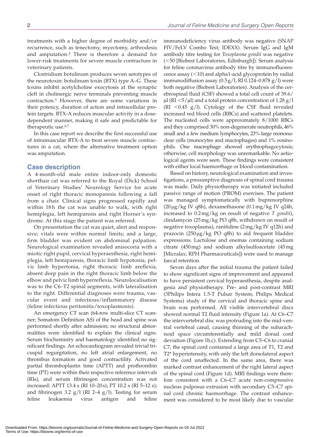treatments with a higher degree of morbidity and/or recurrence, such as tenectomy, myectomy, arthrodesis and amputation.4 There is therefore a demand for lower-risk treatments for severe muscle contracture in veterinary patients.

Clostridium botulinum produces seven serotypes of the neurotoxin: botulinum toxin (BTX) type A–G. These toxins inhibit acetylcholine exocytosis at the synaptic cleft in cholinergic nerve terminals preventing muscle contraction.5 However, there are some variations in their potency, duration of action and intracellular protein targets. BTX-A reduces muscular activity in a dosedependent manner, making it safe and predictable for therapeutic use.6,7

In this case report we describe the first successful use of intramuscular BTX-A to treat severe muscle contractures in a cat, where the alternative treatment option was amputation.

#### **Case description**

A 4-month-old male entire indoor-only domestic shorthair cat was referred to the Royal (Dick) School of Veterinary Studies' Neurology Service for acute onset of right thoracic monoparesis following a fall from a chair. Clinical signs progressed rapidly and within 18h the cat was unable to walk, with right hemiplegia, left hemiparesis and right Horner's syndrome. At this stage the patient was referred.

On presentation the cat was quiet, alert and responsive; vitals were within normal limits; and a large, firm bladder was evident on abdominal palpation. Neurological examination revealed anisocoria with a miotic right pupil, cervical hyperaesthesia, right hemiplegia, left hemiparesis, thoracic limb hypotonia, pelvic limb hypertonia, right thoracic limb areflexia, absent deep pain in the right thoracic limb below the elbow and pelvic limb hyperreflexia. Neurolocalisation was to the C6–T2 spinal segments, with lateralisation to the right. Differential diagnoses were trauma, vascular event and infectious/inflammatory disease (feline infectious peritonitis/toxoplasmosis).

An emergency CT scan (64-row multi-slice CT scanner; Somatom Definition AS) of the head and spine was performed shortly after admission; no structural abnormalities were identified to explain the clinical signs. Serum biochemistry and haematology identified no significant findings. An echocardiogram revealed trivial tricuspid regurgitation, no left atrial enlargement, no thrombus formation and good contractility. Activated partial thromboplastin time (APTT) and prothrombin time (PT) were within their respective reference intervals (RIs), and serum fibrinogen concentration was not increased: APTT 13.4 s (RI 10–20s); PT 10.2 s (RI 5–12 s); and fibrinogen 3.2  $g/l$  (RI 2–4  $g/l$ ). Testing for serum feline leukaemia virus antigen and feline

immunodeficiency virus antibody was negative (SNAP FIV/FeLV Combo Test; IDEXX). Serum IgG and IgM antibody titre testing for *Toxoplasma gondii* was negative (<50 [Biobest Laboratories, Edinburgh]). Serum analysis for feline coronavirus antibody titre by immunofluorescence assay (<10) and alpha1-acid glycoprotein by radial immunodiffusion assay  $(0.5g/l; RI 0.124-0.878 g/l)$  were both negative (Biobest Laboratories). Analysis of the cerebrospinal fluid (CSF) showed a total cell count of 39.6/  $\mu$ l (RI <5/ $\mu$ l) and a total protein concentration of 1.28 g/l (RI  $\leq$ 0.45 g/l). Cytology of the CSF fluid revealed increased red blood cells (RBCs) and scattered platelets. The nucleated cells were approximately 8/1000 RBCs and they comprised 30% non-degenerate neutrophils, 46% small and a few medium lymphocytes, 23% large mononuclear cells (monocytes and macrophages) and 1% eosinophils. One macrophage showed erythrophagocytosis; otherwise, cell morphology was unremarkable. No aetiological agents were seen. These findings were consistent with either local haemorrhage or blood contamination.

Based on history, neurological examination and investigations, a presumptive diagnosis of spinal cord trauma was made. Daily physiotherapy was initiated included passive range of motion (PROM) exercises. The patient was managed symptomatically with buprenorphine (20μg/kg IV q8h), dexamethasone (0.1mg/kg IV q24h, increased to 0.2mg/kg on result of negative *T gondii*), clindamycin (25mg/kg PO q8h, withdrawn on result of negative toxoplasma), ranitidine (2mg/kg IV q12h) and prazocin (250μg/kg PO q8h) to aid frequent bladder expressions. Lactulose and enemas containing sodium citrate (450mg) and sodium alkylsulfoacetate (45mg [Micralax; RPH Pharmaceuticals]) were used to manage faecal retention.

Seven days after the initial trauma the patient failed to show significant signs of improvement and appeared to have persistent cervical hyperaesthesia, despite analgesia and physiotherapy. Pre- and post-contrast MRI (3Philips Intera 1.5-T Pulsar System; Philips Medical Systems) study of the cervical and thoracic spine and brain was performed. All visible intervertebral discs showed normal T2 fluid intensity (Figure 1a). At C6–C7 the intervertebral disc was protruding into the mid-ventral vertebral canal, causing thinning of the subarachnoid space circumferentially and mild dorsal cord deviation (Figure 1b,c). Extending from C5–C6 to cranial C7, the spinal cord contained a large area of T1, T2 and T2\* hyperintensity, with only the left dorsolateral aspect of the cord unaffected. In the same area, there was marked contrast enhancement of the right lateral aspect of the spinal cord (Figure 1d). MRI findings were therefore consistent with a C6–C7 acute non-compressive nucleus pulposus extrusion with secondary C5–C7 spinal cord chronic haemorrhage. The contrast enhancement was considered to be most likely due to vascular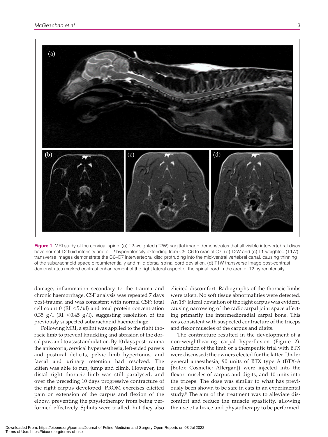

**Figure 1** MRI study of the cervical spine. (a) T2-weighted (T2W) sagittal image demonstrates that all visible intervertebral discs have normal T2 fluid intensity and a T2 hyperintensity extending from C5–C6 to cranial C7. (b) T2W and (c) T1-weighted (T1W) transverse images demonstrate the C6–C7 intervertebral disc protruding into the mid-ventral vertebral canal, causing thinning of the subarachnoid space circumferentially and mild dorsal spinal cord deviation. (d) T1W transverse image post-contrast demonstrates marked contrast enhancement of the right lateral aspect of the spinal cord in the area of T2 hyperintensity

damage, inflammation secondary to the trauma and chronic haemorrhage. CSF analysis was repeated 7 days post-trauma and was consistent with normal CSF: total cell count  $0$  (RI  $\lt 5$ /µl) and total protein concentration 0.35 g/l (RI <0.45 g/l), suggesting resolution of the previously suspected subarachnoid haemorrhage.

Following MRI, a splint was applied to the right thoracic limb to prevent knuckling and abrasion of the dorsal paw, and to assist ambulation. By 10 days post-trauma the anisocoria, cervical hyperaesthesia, left-sided paresis and postural deficits, pelvic limb hypertonus, and faecal and urinary retention had resolved. The kitten was able to run, jump and climb. However, the distal right thoracic limb was still paralysed, and over the preceding 10 days progressive contracture of the right carpus developed. PROM exercises elicited pain on extension of the carpus and flexion of the elbow, preventing the physiotherapy from being performed effectively. Splints were trialled, but they also

elicited discomfort. Radiographs of the thoracic limbs were taken. No soft tissue abnormalities were detected. An 18° lateral deviation of the right carpus was evident, causing narrowing of the radiocarpal joint space affecting primarily the intermedioradial carpal bone. This was consistent with suspected contracture of the triceps and flexor muscles of the carpus and digits.

The contracture resulted in the development of a non-weightbearing carpal hyperflexion (Figure 2). Amputation of the limb or a therapeutic trial with BTX were discussed; the owners elected for the latter. Under general anaesthesia, 90 units of BTX type A (BTX-A [Botox Cosmetic; Allergan]) were injected into the flexor muscles of carpus and digits, and 10 units into the triceps. The dose was similar to what has previously been shown to be safe in cats in an experimental study.8 The aim of the treatment was to alleviate discomfort and reduce the muscle spasticity, allowing the use of a brace and physiotherapy to be performed.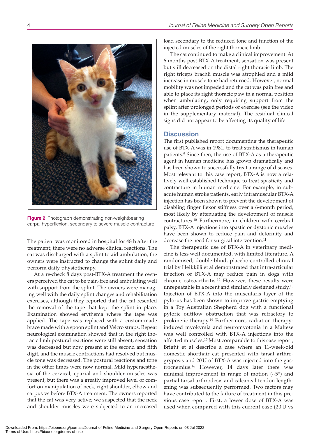

**Figure 2** Photograph demonstrating non-weightbearing carpal hyperflexion, secondary to severe muscle contracture

The patient was monitored in hospital for 48 h after the treatment; there were no adverse clinical reactions. The cat was discharged with a splint to aid ambulation; the owners were instructed to change the splint daily and perform daily physiotherapy.

At a re-check 8 days post-BTX-A treatment the owners perceived the cat to be pain-free and ambulating well with support from the splint. The owners were managing well with the daily splint changes and rehabilitation exercises, although they reported that the cat resented the removal of the tape that kept the splint in place. Examination showed erythema where the tape was applied. The tape was replaced with a custom-made brace made with a spoon splint and Velcro straps. Repeat neurological examination showed that in the right thoracic limb postural reactions were still absent, sensation was decreased but now present at the second and fifth digit, and the muscle contractions had resolved but muscle tone was decreased. The postural reactions and tone in the other limbs were now normal. Mild hyperaesthesia of the cervical, epaxial and shoulder muscles was present, but there was a greatly improved level of comfort on manipulation of neck, right shoulder, elbow and carpus vs before BTX-A treatment. The owners reported that the cat was very active; we suspected that the neck and shoulder muscles were subjected to an increased

load secondary to the reduced tone and function of the injected muscles of the right thoracic limb.

The cat continued to make a clinical improvement. At 6 months post-BTX-A treatment, sensation was present but still decreased on the distal right thoracic limb. The right triceps brachii muscle was atrophied and a mild increase in muscle tone had returned. However, normal mobility was not impeded and the cat was pain free and able to place its right thoracic paw in a normal position when ambulating, only requiring support from the splint after prolonged periods of exercise (see the video in the supplementary material). The residual clinical signs did not appear to be affecting its quality of life.

#### **Discussion**

The first published report documenting the therapeutic use of BTX-A was in 1981, to treat strabismus in human patients.9 Since then, the use of BTX-A as a therapeutic agent in human medicine has grown dramatically and has been shown to successfully treat a range of diseases. Most relevant to this case report, BTX-A is now a relatively well-established technique to treat spasticity and contracture in human medicine. For example, in subacute human stroke patients, early intramuscular BTX-A injection has been shown to prevent the development of disabling finger flexor stiffness over a 6-month period, most likely by attenuating the development of muscle contractures.10 Furthermore, in children with cerebral palsy, BTX-A injections into spastic or dystonic muscles have been shown to reduce pain and deformity and decrease the need for surgical intervention.<sup>11</sup>

The therapeutic use of BTX-A in veterinary medicine is less well documented, with limited literature. A randomised, double-blind, placebo-controlled clinical trial by Heikkilä et al demonstrated that intra-articular injection of BTX-A may reduce pain in dogs with chronic osteoarthritis.12 However, these results were unrepeatable in a recent and similarly designed study.13 Injection of BTX-A into the muscularis layer of the pylorus has been shown to improve gastric emptying in a Toy Australian Shepherd dog with a functional pyloric outflow obstruction that was refractory to prokinetic therapy.14 Furthermore, radiation therapyinduced myokymia and neuromyotonia in a Maltese was well controlled with BTX-A injections into the affected muscles.15 Most comparable to this case report, Bright et al describe a case where an 11-week-old domestic shorthair cat presented with tarsal arthrogryposis and 20U of BTX-A was injected into the gastrocnemius.16 However, 14 days later there was minimal improvement in range of motion  $(-5)$  and partial tarsal arthrodesis and calcaneal tendon lengthening was subsequently performed. Two factors may have contributed to the failure of treatment in this previous case report. First, a lower dose of BTX-A was used when compared with this current case (20 U vs